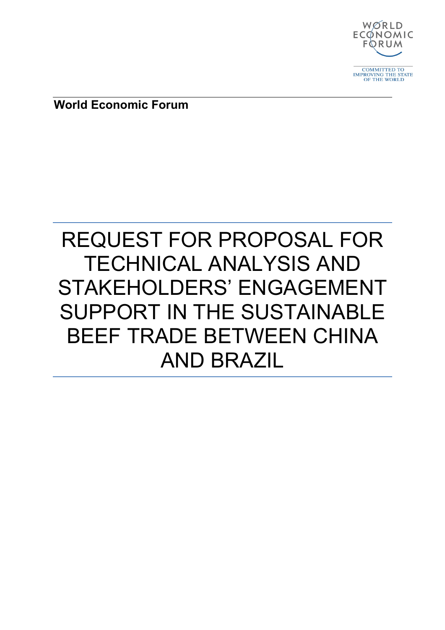

**World Economic Forum**

# REQUEST FOR PROPOSAL FOR TECHNICAL ANALYSIS AND STAKEHOLDERS' ENGAGEMENT SUPPORT IN THE SUSTAINABLE BEEF TRADE BETWEEN CHINA AND BRAZIL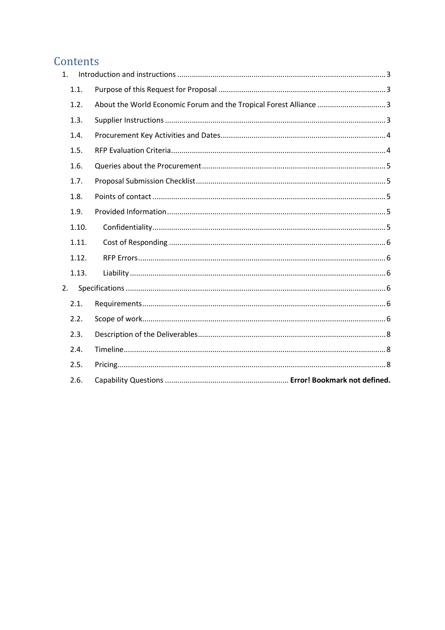# Contents

| 1.    |                                                                   |
|-------|-------------------------------------------------------------------|
| 1.1.  |                                                                   |
| 1.2.  | About the World Economic Forum and the Tropical Forest Alliance 3 |
| 1.3.  |                                                                   |
| 1.4.  |                                                                   |
| 1.5.  |                                                                   |
| 1.6.  |                                                                   |
| 1.7.  |                                                                   |
| 1.8.  |                                                                   |
| 1.9.  |                                                                   |
| 1.10. |                                                                   |
| 1.11. |                                                                   |
| 1.12. |                                                                   |
| 1.13. |                                                                   |
| 2.    |                                                                   |
| 2.1.  |                                                                   |
| 2.2.  |                                                                   |
| 2.3.  |                                                                   |
| 2.4.  |                                                                   |
| 2.5.  |                                                                   |
| 2.6.  |                                                                   |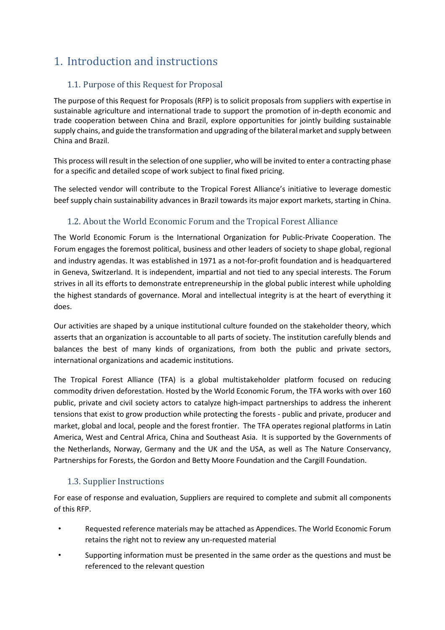# <span id="page-2-0"></span>1. Introduction and instructions

# <span id="page-2-1"></span>1.1. Purpose of this Request for Proposal

<span id="page-2-2"></span>The purpose of this Request for Proposals (RFP) is to solicit proposals from suppliers with expertise in sustainable agriculture and international trade to support the promotion of in-depth economic and trade cooperation between China and Brazil, explore opportunities for jointly building sustainable supply chains, and guide the transformation and upgrading of the bilateral market and supply between China and Brazil.

This process will result in the selection of one supplier, who will be invited to enter a contracting phase for a specific and detailed scope of work subject to final fixed pricing.

The selected vendor will contribute to the Tropical Forest Alliance's initiative to leverage domestic beef supply chain sustainability advances in Brazil towards its major export markets, starting in China.

# 1.2. About the World Economic Forum and the Tropical Forest Alliance

The World Economic Forum is the International Organization for Public-Private Cooperation. The Forum engages the foremost political, business and other leaders of society to shape global, regional and industry agendas. It was established in 1971 as a not-for-profit foundation and is headquartered in Geneva, Switzerland. It is independent, impartial and not tied to any special interests. The Forum strives in all its efforts to demonstrate entrepreneurship in the global public interest while upholding the highest standards of governance. Moral and intellectual integrity is at the heart of everything it does.

Our activities are shaped by a unique institutional culture founded on the stakeholder theory, which asserts that an organization is accountable to all parts of society. The institution carefully blends and balances the best of many kinds of organizations, from both the public and private sectors, international organizations and academic institutions.

The Tropical Forest Alliance (TFA) is a global multistakeholder platform focused on reducing commodity driven deforestation. Hosted by the World Economic Forum, the TFA works with over 160 public, private and civil society actors to catalyze high-impact partnerships to address the inherent tensions that exist to grow production while protecting the forests - public and private, producer and market, global and local, people and the forest frontier. The TFA operates regional platforms in Latin America, West and Central Africa, China and Southeast Asia. It is supported by the Governments of the Netherlands, Norway, Germany and the UK and the USA, as well as The Nature Conservancy, Partnerships for Forests, the Gordon and Betty Moore Foundation and the Cargill Foundation.

# <span id="page-2-3"></span>1.3. Supplier Instructions

For ease of response and evaluation, Suppliers are required to complete and submit all components of this RFP.

- Requested reference materials may be attached as Appendices. The World Economic Forum retains the right not to review any un-requested material
- Supporting information must be presented in the same order as the questions and must be referenced to the relevant question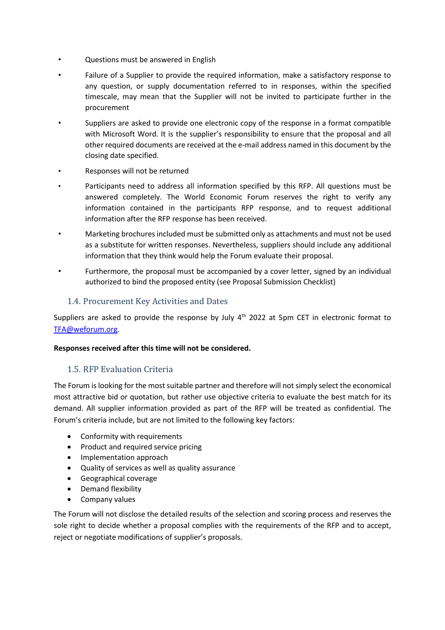- Questions must be answered in English
- Failure of a Supplier to provide the required information, make a satisfactory response to any question, or supply documentation referred to in responses, within the specified timescale, may mean that the Supplier will not be invited to participate further in the procurement
- Suppliers are asked to provide one electronic copy of the response in a format compatible with Microsoft Word. It is the supplier's responsibility to ensure that the proposal and all other required documents are received at the e-mail address named in this document by the closing date specified.
- Responses will not be returned
- Participants need to address all information specified by this RFP. All questions must be answered completely. The World Economic Forum reserves the right to verify any information contained in the participants RFP response, and to request additional information after the RFP response has been received.
- Marketing brochures included must be submitted only as attachments and must not be used as a substitute for written responses. Nevertheless, suppliers should include any additional information that they think would help the Forum evaluate their proposal.
- Furthermore, the proposal must be accompanied by a cover letter, signed by an individual authorized to bind the proposed entity (see Proposal Submission Checklist)

#### <span id="page-3-0"></span>1.4. Procurement Key Activities and Dates

Suppliers are asked to provide the response by July 4<sup>th</sup> 2022 at 5pm CET in electronic format to [TFA@weforum.org.](mailto:TFA@weforum.org)

#### **Responses received after this time will not be considered.**

#### <span id="page-3-1"></span>1.5. RFP Evaluation Criteria

The Forum is looking for the most suitable partner and therefore will not simply select the economical most attractive bid or quotation, but rather use objective criteria to evaluate the best match for its demand. All supplier information provided as part of the RFP will be treated as confidential. The Forum's criteria include, but are not limited to the following key factors:

- Conformity with requirements
- Product and required service pricing
- Implementation approach
- Quality of services as well as quality assurance
- Geographical coverage
- Demand flexibility
- Company values

The Forum will not disclose the detailed results of the selection and scoring process and reserves the sole right to decide whether a proposal complies with the requirements of the RFP and to accept, reject or negotiate modifications of supplier's proposals.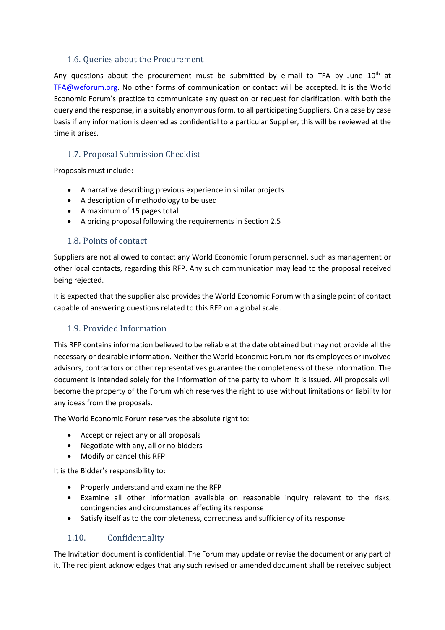#### <span id="page-4-0"></span>1.6. Queries about the Procurement

Any questions about the procurement must be submitted by e-mail to TFA by June  $10<sup>th</sup>$  at [TFA@weforum.org.](mailto:TFA@weforum.org) No other forms of communication or contact will be accepted. It is the World Economic Forum's practice to communicate any question or request for clarification, with both the query and the response, in a suitably anonymous form, to all participating Suppliers. On a case by case basis if any information is deemed as confidential to a particular Supplier, this will be reviewed at the time it arises.

# <span id="page-4-1"></span>1.7. Proposal Submission Checklist

Proposals must include:

- A narrative describing previous experience in similar projects
- A description of methodology to be used
- A maximum of 15 pages total
- A pricing proposal following the requirements in Section [2.5](#page-7-2)

#### <span id="page-4-2"></span>1.8. Points of contact

Suppliers are not allowed to contact any World Economic Forum personnel, such as management or other local contacts, regarding this RFP. Any such communication may lead to the proposal received being rejected.

It is expected that the supplier also provides the World Economic Forum with a single point of contact capable of answering questions related to this RFP on a global scale.

#### <span id="page-4-3"></span>1.9. Provided Information

This RFP contains information believed to be reliable at the date obtained but may not provide all the necessary or desirable information. Neither the World Economic Forum nor its employees or involved advisors, contractors or other representatives guarantee the completeness of these information. The document is intended solely for the information of the party to whom it is issued. All proposals will become the property of the Forum which reserves the right to use without limitations or liability for any ideas from the proposals.

The World Economic Forum reserves the absolute right to:

- Accept or reject any or all proposals
- Negotiate with any, all or no bidders
- Modify or cancel this RFP

It is the Bidder's responsibility to:

- Properly understand and examine the RFP
- Examine all other information available on reasonable inquiry relevant to the risks, contingencies and circumstances affecting its response
- Satisfy itself as to the completeness, correctness and sufficiency of its response

#### <span id="page-4-4"></span>1.10. Confidentiality

The Invitation document is confidential. The Forum may update or revise the document or any part of it. The recipient acknowledges that any such revised or amended document shall be received subject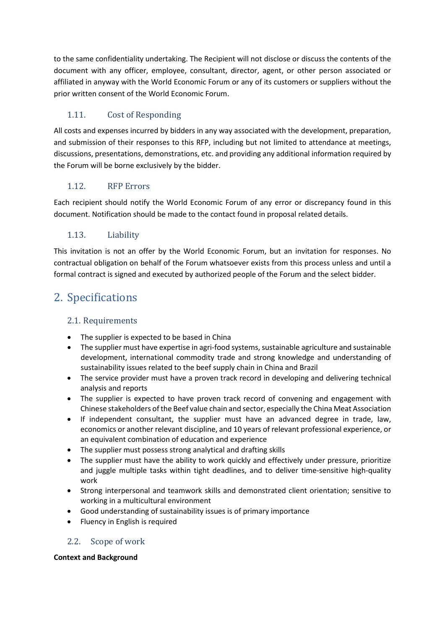to the same confidentiality undertaking. The Recipient will not disclose or discuss the contents of the document with any officer, employee, consultant, director, agent, or other person associated or affiliated in anyway with the World Economic Forum or any of its customers or suppliers without the prior written consent of the World Economic Forum.

# <span id="page-5-0"></span>1.11. Cost of Responding

All costs and expenses incurred by bidders in any way associated with the development, preparation, and submission of their responses to this RFP, including but not limited to attendance at meetings, discussions, presentations, demonstrations, etc. and providing any additional information required by the Forum will be borne exclusively by the bidder.

# <span id="page-5-1"></span>1.12. RFP Errors

Each recipient should notify the World Economic Forum of any error or discrepancy found in this document. Notification should be made to the contact found in proposal related details.

#### <span id="page-5-2"></span>1.13. Liability

This invitation is not an offer by the World Economic Forum, but an invitation for responses. No contractual obligation on behalf of the Forum whatsoever exists from this process unless and until a formal contract is signed and executed by authorized people of the Forum and the select bidder.

# <span id="page-5-3"></span>2. Specifications

# <span id="page-5-4"></span>2.1. Requirements

- <span id="page-5-5"></span>• The supplier is expected to be based in China
- The supplier must have expertise in agri-food systems, sustainable agriculture and sustainable development, international commodity trade and strong knowledge and understanding of sustainability issues related to the beef supply chain in China and Brazil
- The service provider must have a proven track record in developing and delivering technical analysis and reports
- The supplier is expected to have proven track record of convening and engagement with Chinese stakeholders of the Beef value chain and sector, especially the China Meat Association
- If independent consultant, the supplier must have an advanced degree in trade, law, economics or another relevant discipline, and 10 years of relevant professional experience, or an equivalent combination of education and experience
- The supplier must possess strong analytical and drafting skills
- The supplier must have the ability to work quickly and effectively under pressure, prioritize and juggle multiple tasks within tight deadlines, and to deliver time-sensitive high-quality work
- Strong interpersonal and teamwork skills and demonstrated client orientation; sensitive to working in a multicultural environment
- Good understanding of sustainability issues is of primary importance
- Fluency in English is required

#### 2.2. Scope of work

#### **Context and Background**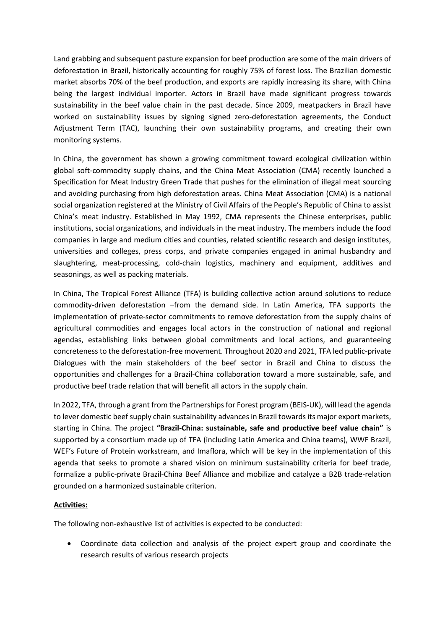Land grabbing and subsequent pasture expansion for beef production are some of the main drivers of deforestation in Brazil, historically accounting for roughly 75% of forest loss. The Brazilian domestic market absorbs 70% of the beef production, and exports are rapidly increasing its share, with China being the largest individual importer. Actors in Brazil have made significant progress towards sustainability in the beef value chain in the past decade. Since 2009, meatpackers in Brazil have worked on sustainability issues by signing signed zero-deforestation agreements, the Conduct Adjustment Term (TAC), launching their own sustainability programs, and creating their own monitoring systems.

In China, the government has shown a growing commitment toward ecological civilization within global soft-commodity supply chains, and the China Meat Association (CMA) recently launched a Specification for Meat Industry Green Trade that pushes for the elimination of illegal meat sourcing and avoiding purchasing from high deforestation areas. China Meat Association (CMA) is a national social organization registered at the Ministry of Civil Affairs of the People's Republic of China to assist China's meat industry. Established in May 1992, CMA represents the Chinese enterprises, public institutions, social organizations, and individuals in the meat industry. The members include the food companies in large and medium cities and counties, related scientific research and design institutes, universities and colleges, press corps, and private companies engaged in animal husbandry and slaughtering, meat-processing, cold-chain logistics, machinery and equipment, additives and seasonings, as well as packing materials.

In China, The Tropical Forest Alliance (TFA) is building collective action around solutions to reduce commodity-driven deforestation –from the demand side. In Latin America, TFA supports the implementation of private-sector commitments to remove deforestation from the supply chains of agricultural commodities and engages local actors in the construction of national and regional agendas, establishing links between global commitments and local actions, and guaranteeing concreteness to the deforestation-free movement. Throughout 2020 and 2021, TFA led public-private Dialogues with the main stakeholders of the beef sector in Brazil and China to discuss the opportunities and challenges for a Brazil-China collaboration toward a more sustainable, safe, and productive beef trade relation that will benefit all actors in the supply chain.

In 2022, TFA, through a grant from the Partnerships for Forest program (BEIS-UK), will lead the agenda to lever domestic beef supply chain sustainability advances in Brazil towards its major export markets, starting in China. The project **"Brazil-China: sustainable, safe and productive beef value chain"** is supported by a consortium made up of TFA (including Latin America and China teams), WWF Brazil, WEF's Future of Protein workstream, and Imaflora, which will be key in the implementation of this agenda that seeks to promote a shared vision on minimum sustainability criteria for beef trade, formalize a public-private Brazil-China Beef Alliance and mobilize and catalyze a B2B trade-relation grounded on a harmonized sustainable criterion.

#### **Activities:**

The following non-exhaustive list of activities is expected to be conducted:

• Coordinate data collection and analysis of the project expert group and coordinate the research results of various research projects